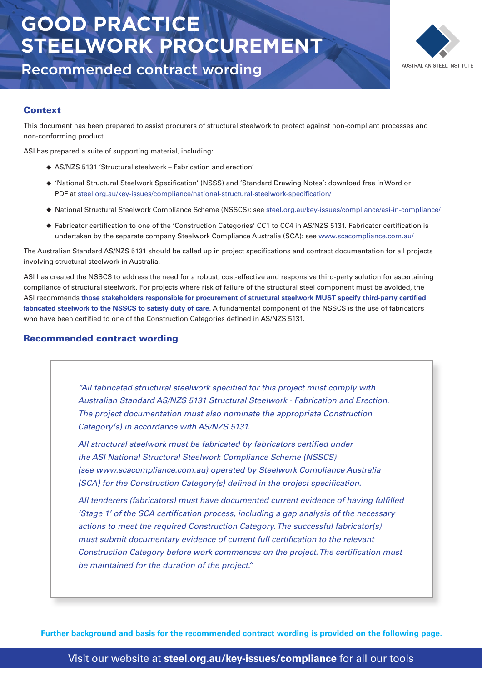# **GOOD PRACTICE STEELWORK PROCUREMENT**



Recommended contract wording

### **Context**

This document has been prepared to assist procurers of structural steelwork to protect against non-compliant processes and non-conforming product.

ASI has prepared a suite of supporting material, including:

- AS/NZS 5131 'Structural steelwork Fabrication and erection'
- ♦ 'National Structural Steelwork Specification' (NSSS) and 'Standard Drawing Notes': download free in Word or PDF at steel.org.au/key-issues/compliance/national-structural-steelwork-specification/
- National Structural Steelwork Compliance Scheme (NSSCS): see steel.org.au/key-issues/compliance/asi-in-compliance/
- $\bullet$  Fabricator certification to one of the 'Construction Categories' CC1 to CC4 in AS/NZS 5131. Fabricator certification is undertaken by the separate company Steelwork Compliance Australia (SCA): see www.scacompliance.com.au/

The Australian Standard AS/NZS 5131 should be called up in project specifications and contract documentation for all projects involving structural steelwork in Australia.

ASI has created the NSSCS to address the need for a robust, cost-effective and responsive third-party solution for ascertaining compliance of structural steelwork. For projects where risk of failure of the structural steel component must be avoided, the ASI recommends those stakeholders responsible for procurement of structural steelwork MUST specify third-party certified **fabricated steelwork to the NSSCS to satisfy duty of care.** A fundamental component of the NSSCS is the use of fabricators who have been certified to one of the Construction Categories defined in AS/NZS 5131.

#### Recommended contract wording

"All fabricated structural steelwork specified for this project must comply with Australian Standard AS/NZS 5131 Structural Steelwork - Fabrication and Erection. The project documentation must also nominate the appropriate Construction Category(s) in accordance with AS/NZS 5131.

All structural steelwork must be fabricated by fabricators certified under the ASI National Structural Steelwork Compliance Scheme (NSSCS) (see www.scacompliance.com.au) operated by Steelwork Compliance Australia  $(SCA)$  for the Construction Category(s) defined in the project specification.

All tenderers (fabricators) must have documented current evidence of having fulfilled 'Stage 1' of the SCA certification process, including a gap analysis of the necessary actions to meet the required Construction Category. The successful fabricator(s) must submit documentary evidence of current full certification to the relevant Construction Category before work commences on the project. The certification must be maintained for the duration of the project."

**Further background and basis for the recommended contract wording is provided on the following page.**